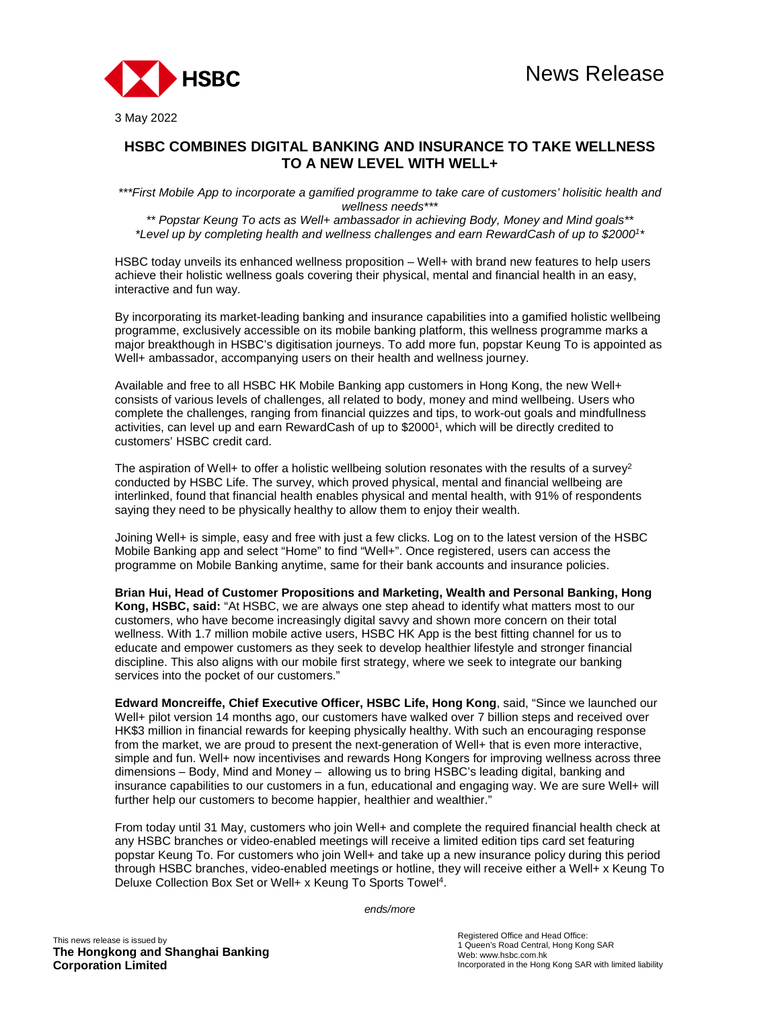

3 May 2022

## **HSBC COMBINES DIGITAL BANKING AND INSURANCE TO TAKE WELLNESS TO A NEW LEVEL WITH WELL+**

*\*\*\*First Mobile App to incorporate a gamified programme to take care of customers' holisitic health and wellness needs\*\*\** 

*\*\* Popstar Keung To acts as Well+ ambassador in achieving Body, Money and Mind goals\*\* \*Level up by completing health and wellness challenges and earn RewardCash of up to \$2000<sup>1</sup> \** 

HSBC today unveils its enhanced wellness proposition – Well+ with brand new features to help users achieve their holistic wellness goals covering their physical, mental and financial health in an easy, interactive and fun way.

By incorporating its market-leading banking and insurance capabilities into a gamified holistic wellbeing programme, exclusively accessible on its mobile banking platform, this wellness programme marks a major breakthough in HSBC's digitisation journeys. To add more fun, popstar Keung To is appointed as Well+ ambassador, accompanying users on their health and wellness journey.

Available and free to all HSBC HK Mobile Banking app customers in Hong Kong, the new Well+ consists of various levels of challenges, all related to body, money and mind wellbeing. Users who complete the challenges, ranging from financial quizzes and tips, to work-out goals and mindfullness activities, can level up and earn RewardCash of up to \$2000<sup>1</sup> , which will be directly credited to customers' HSBC credit card.

The aspiration of Well+ to offer a holistic wellbeing solution resonates with the results of a survey<sup>2</sup> conducted by HSBC Life. The survey, which proved physical, mental and financial wellbeing are interlinked, found that financial health enables physical and mental health, with 91% of respondents saying they need to be physically healthy to allow them to enjoy their wealth.

Joining Well+ is simple, easy and free with just a few clicks. Log on to the latest version of the HSBC Mobile Banking app and select "Home" to find "Well+". Once registered, users can access the programme on Mobile Banking anytime, same for their bank accounts and insurance policies.

**Brian Hui, Head of Customer Propositions and Marketing, Wealth and Personal Banking, Hong Kong, HSBC, said:** "At HSBC, we are always one step ahead to identify what matters most to our customers, who have become increasingly digital savvy and shown more concern on their total wellness. With 1.7 million mobile active users, HSBC HK App is the best fitting channel for us to educate and empower customers as they seek to develop healthier lifestyle and stronger financial discipline. This also aligns with our mobile first strategy, where we seek to integrate our banking services into the pocket of our customers."

**Edward Moncreiffe, Chief Executive Officer, HSBC Life, Hong Kong**, said, "Since we launched our Well+ pilot version 14 months ago, our customers have walked over 7 billion steps and received over HK\$3 million in financial rewards for keeping physically healthy. With such an encouraging response from the market, we are proud to present the next-generation of Well+ that is even more interactive, simple and fun. Well+ now incentivises and rewards Hong Kongers for improving wellness across three dimensions – Body, Mind and Money – allowing us to bring HSBC's leading digital, banking and insurance capabilities to our customers in a fun, educational and engaging way. We are sure Well+ will further help our customers to become happier, healthier and wealthier."

From today until 31 May, customers who join Well+ and complete the required financial health check at any HSBC branches or video-enabled meetings will receive a limited edition tips card set featuring popstar Keung To. For customers who join Well+ and take up a new insurance policy during this period through HSBC branches, video-enabled meetings or hotline, they will receive either a Well+ x Keung To Deluxe Collection Box Set or Well+ x Keung To Sports Towel<sup>4</sup>.

*ends/more*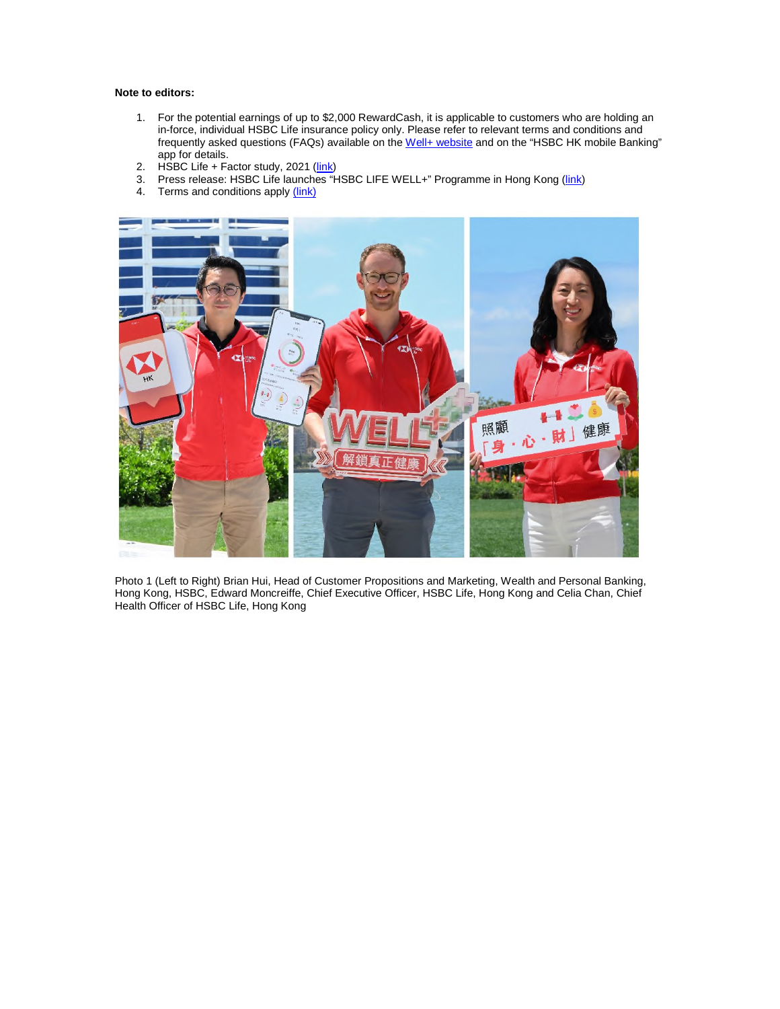## **Note to editors:**

- 1. For the potential earnings of up to \$2,000 RewardCash, it is applicable to customers who are holding an in-force, individual HSBC Life insurance policy only. Please refer to relevant terms and conditions and frequently asked questions (FAQs) available on the Well+ website and on the "HSBC HK mobile Banking" app for details.
- 2. HSBC Life + Factor study, 2021 (link)
- 3. Press release: HSBC Life launches "HSBC LIFE WELL+" Programme in Hong Kong (link)
- 4. Terms and conditions apply (link)



Photo 1 (Left to Right) Brian Hui, Head of Customer Propositions and Marketing, Wealth and Personal Banking, Hong Kong, HSBC, Edward Moncreiffe, Chief Executive Officer, HSBC Life, Hong Kong and Celia Chan, Chief Health Officer of HSBC Life, Hong Kong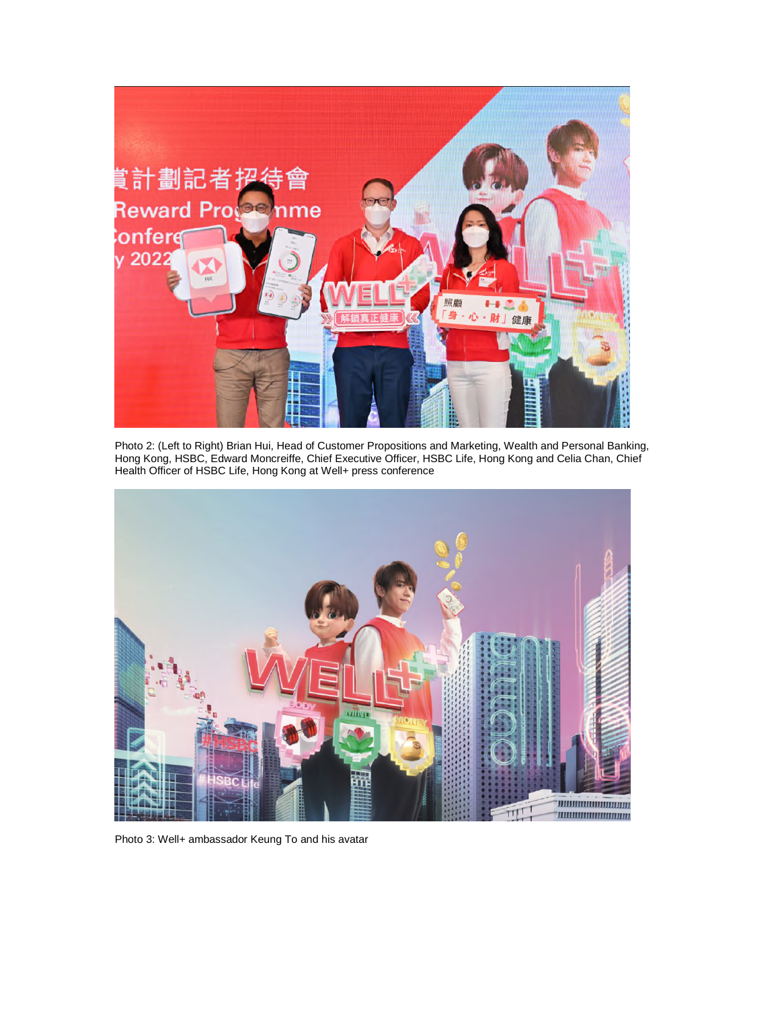

Photo 2: (Left to Right) Brian Hui, Head of Customer Propositions and Marketing, Wealth and Personal Banking, Hong Kong, HSBC, Edward Moncreiffe, Chief Executive Officer, HSBC Life, Hong Kong and Celia Chan, Chief Health Officer of HSBC Life, Hong Kong at Well+ press conference



Photo 3: Well+ ambassador Keung To and his avatar